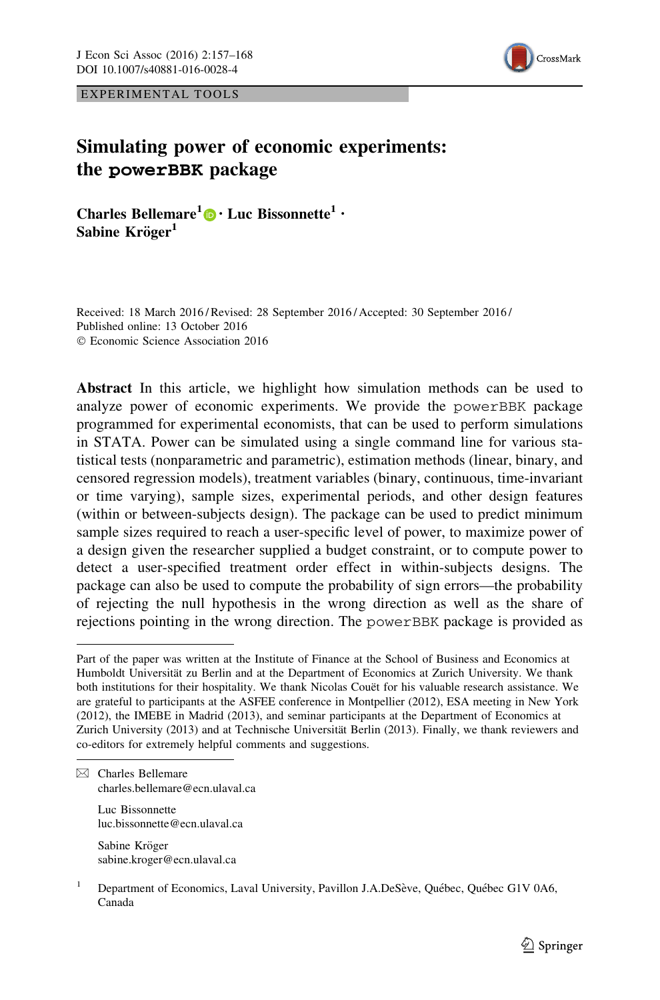

EXPERIMENTAL TOOLS

# Simulating power of economic experiments: the powerBBK package

Charles Bellemare<sup>1</sup><sup>0</sup> • Luc Bissonnette<sup>1</sup> •  $Sabine$  Kröger<sup>1</sup>

Received: 18 March 2016 / Revised: 28 September 2016 / Accepted: 30 September 2016 / Published online: 13 October 2016 © Economic Science Association 2016

Abstract In this article, we highlight how simulation methods can be used to analyze power of economic experiments. We provide the powerBBK package programmed for experimental economists, that can be used to perform simulations in STATA. Power can be simulated using a single command line for various statistical tests (nonparametric and parametric), estimation methods (linear, binary, and censored regression models), treatment variables (binary, continuous, time-invariant or time varying), sample sizes, experimental periods, and other design features (within or between-subjects design). The package can be used to predict minimum sample sizes required to reach a user-specific level of power, to maximize power of a design given the researcher supplied a budget constraint, or to compute power to detect a user-specified treatment order effect in within-subjects designs. The package can also be used to compute the probability of sign errors—the probability of rejecting the null hypothesis in the wrong direction as well as the share of rejections pointing in the wrong direction. The powerBBK package is provided as

Luc Bissonnette luc.bissonnette@ecn.ulaval.ca

Sabine Kröger sabine.kroger@ecn.ulaval.ca

Part of the paper was written at the Institute of Finance at the School of Business and Economics at Humboldt Universität zu Berlin and at the Department of Economics at Zurich University. We thank both institutions for their hospitality. We thank Nicolas Couët for his valuable research assistance. We are grateful to participants at the ASFEE conference in Montpellier (2012), ESA meeting in New York (2012), the IMEBE in Madrid (2013), and seminar participants at the Department of Economics at Zurich University (2013) and at Technische Universität Berlin (2013). Finally, we thank reviewers and co-editors for extremely helpful comments and suggestions.

 $\boxtimes$  Charles Bellemare charles.bellemare@ecn.ulaval.ca

Department of Economics, Laval University, Pavillon J.A.DeSève, Québec, Québec G1V 0A6, Canada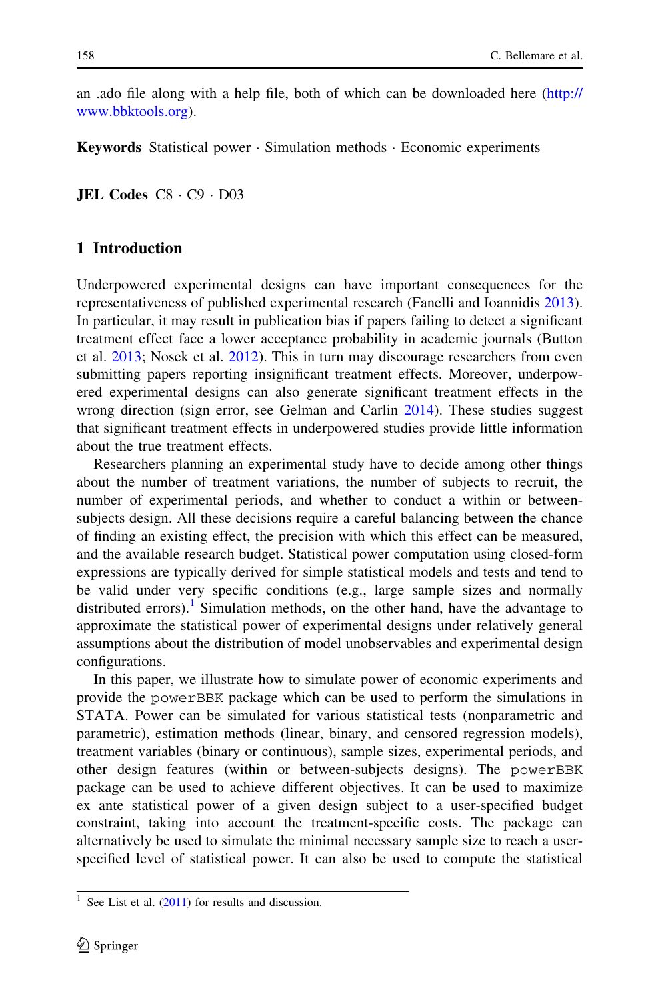an .ado file along with a help file, both of which can be downloaded here [\(http://](http://www.bbktools.org) [www.bbktools.org](http://www.bbktools.org)).

Keywords Statistical power - Simulation methods - Economic experiments

**JEL Codes**  $C8 \cdot C9 \cdot D03$ 

#### 1 Introduction

Underpowered experimental designs can have important consequences for the representativeness of published experimental research (Fanelli and Ioannidis [2013\)](#page-11-0). In particular, it may result in publication bias if papers failing to detect a significant treatment effect face a lower acceptance probability in academic journals (Button et al. [2013](#page-11-0); Nosek et al. [2012](#page-11-0)). This in turn may discourage researchers from even submitting papers reporting insignificant treatment effects. Moreover, underpowered experimental designs can also generate significant treatment effects in the wrong direction (sign error, see Gelman and Carlin [2014](#page-11-0)). These studies suggest that significant treatment effects in underpowered studies provide little information about the true treatment effects.

Researchers planning an experimental study have to decide among other things about the number of treatment variations, the number of subjects to recruit, the number of experimental periods, and whether to conduct a within or betweensubjects design. All these decisions require a careful balancing between the chance of finding an existing effect, the precision with which this effect can be measured, and the available research budget. Statistical power computation using closed-form expressions are typically derived for simple statistical models and tests and tend to be valid under very specific conditions (e.g., large sample sizes and normally distributed errors).<sup>1</sup> Simulation methods, on the other hand, have the advantage to approximate the statistical power of experimental designs under relatively general assumptions about the distribution of model unobservables and experimental design configurations.

In this paper, we illustrate how to simulate power of economic experiments and provide the powerBBK package which can be used to perform the simulations in STATA. Power can be simulated for various statistical tests (nonparametric and parametric), estimation methods (linear, binary, and censored regression models), treatment variables (binary or continuous), sample sizes, experimental periods, and other design features (within or between-subjects designs). The powerBBK package can be used to achieve different objectives. It can be used to maximize ex ante statistical power of a given design subject to a user-specified budget constraint, taking into account the treatment-specific costs. The package can alternatively be used to simulate the minimal necessary sample size to reach a userspecified level of statistical power. It can also be used to compute the statistical

 $1$  See List et al. ([2011\)](#page-11-0) for results and discussion.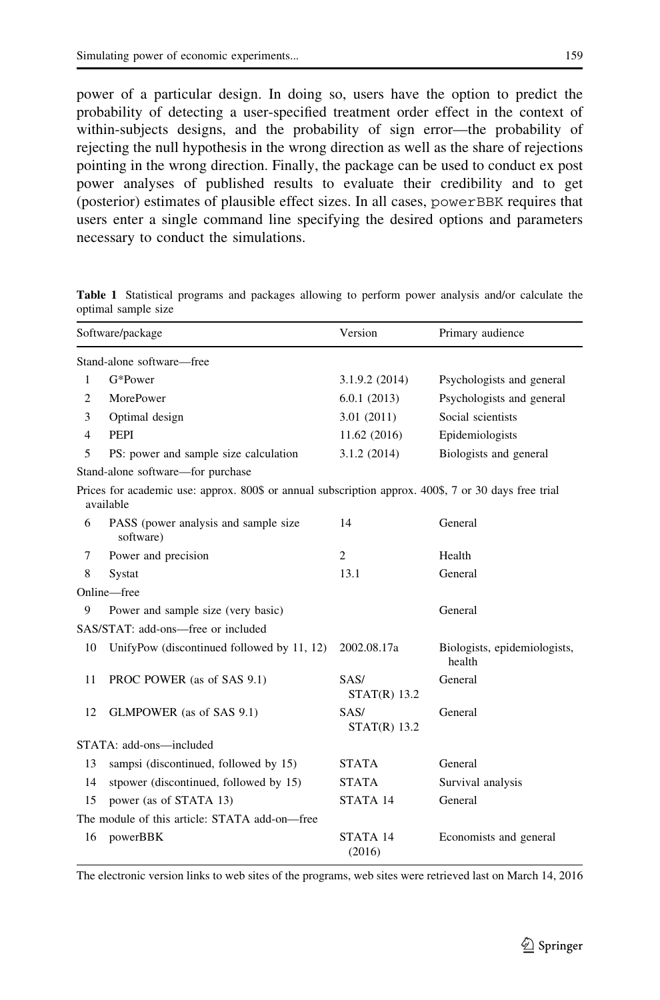<span id="page-2-0"></span>power of a particular design. In doing so, users have the option to predict the probability of detecting a user-specified treatment order effect in the context of within-subjects designs, and the probability of sign error—the probability of rejecting the null hypothesis in the wrong direction as well as the share of rejections pointing in the wrong direction. Finally, the package can be used to conduct ex post power analyses of published results to evaluate their credibility and to get (posterior) estimates of plausible effect sizes. In all cases, powerBBK requires that users enter a single command line specifying the desired options and parameters necessary to conduct the simulations.

|                                               | Software/package                                                                                                  | Version                | Primary audience                       |  |  |  |
|-----------------------------------------------|-------------------------------------------------------------------------------------------------------------------|------------------------|----------------------------------------|--|--|--|
|                                               | Stand-alone software—free                                                                                         |                        |                                        |  |  |  |
| 1                                             | G*Power                                                                                                           | 3.1.9.2(2014)          | Psychologists and general              |  |  |  |
| 2                                             | MorePower                                                                                                         | 6.0.1(2013)            | Psychologists and general              |  |  |  |
| 3                                             | Optimal design                                                                                                    | 3.01(2011)             | Social scientists                      |  |  |  |
| 4                                             | <b>PEPI</b>                                                                                                       | 11.62 (2016)           | Epidemiologists                        |  |  |  |
| 5                                             | PS: power and sample size calculation                                                                             | 3.1.2(2014)            | Biologists and general                 |  |  |  |
|                                               | Stand-alone software—for purchase                                                                                 |                        |                                        |  |  |  |
|                                               | Prices for academic use: approx. 800\$ or annual subscription approx. 400\$, 7 or 30 days free trial<br>available |                        |                                        |  |  |  |
| 6                                             | PASS (power analysis and sample size<br>software)                                                                 | 14                     | General                                |  |  |  |
| 7                                             | Power and precision                                                                                               | $\overline{2}$         | Health                                 |  |  |  |
| 8                                             | Systat                                                                                                            | 13.1                   | General                                |  |  |  |
|                                               | Online-free                                                                                                       |                        |                                        |  |  |  |
| 9                                             | Power and sample size (very basic)                                                                                |                        | General                                |  |  |  |
|                                               | SAS/STAT: add-ons-free or included                                                                                |                        |                                        |  |  |  |
| 10                                            | UnifyPow (discontinued followed by 11, 12)                                                                        | 2002.08.17a            | Biologists, epidemiologists,<br>health |  |  |  |
| 11                                            | PROC POWER (as of SAS 9.1)                                                                                        | SAS/<br>$STAT(R)$ 13.2 | General                                |  |  |  |
| 12                                            | GLMPOWER (as of SAS 9.1)                                                                                          | SAS/<br>$STAT(R)$ 13.2 | General                                |  |  |  |
|                                               | STATA: add-ons-included                                                                                           |                        |                                        |  |  |  |
| 13                                            | sampsi (discontinued, followed by 15)                                                                             | <b>STATA</b>           | General                                |  |  |  |
| 14                                            | stpower (discontinued, followed by 15)                                                                            | <b>STATA</b>           | Survival analysis                      |  |  |  |
| 15                                            | power (as of STATA 13)                                                                                            | STATA 14               | General                                |  |  |  |
| The module of this article: STATA add-on-free |                                                                                                                   |                        |                                        |  |  |  |
| 16                                            | powerBBK                                                                                                          | STATA 14<br>(2016)     | Economists and general                 |  |  |  |

Table 1 Statistical programs and packages allowing to perform power analysis and/or calculate the optimal sample size

The electronic version links to web sites of the programs, web sites were retrieved last on March 14, 2016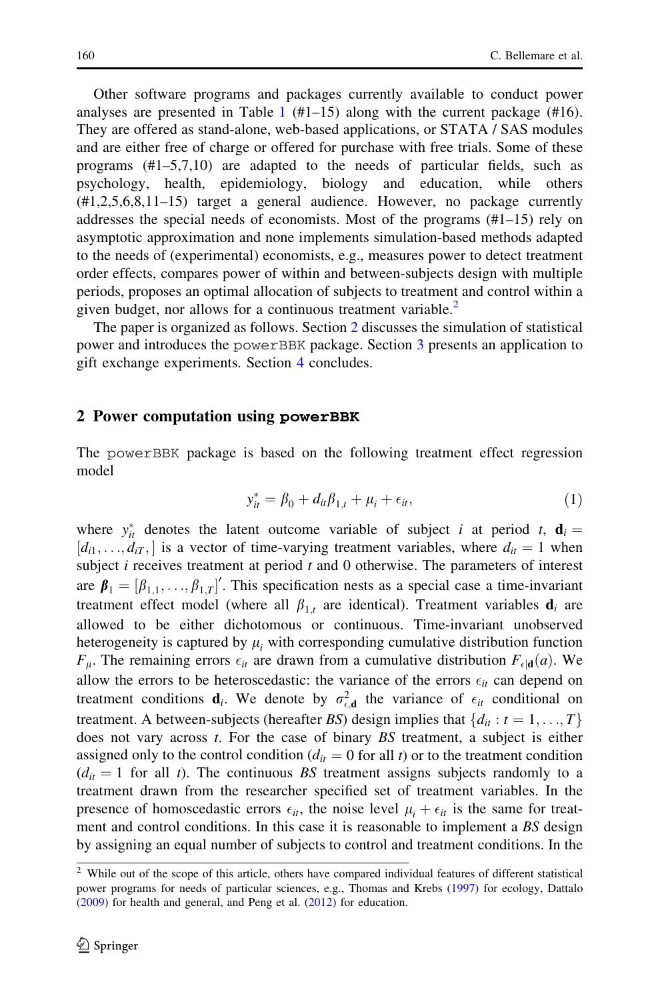<span id="page-3-0"></span>Other software programs and packages currently available to conduct power analyses are presented in Table [1](#page-2-0)  $(\#1-15)$  along with the current package  $(\#16)$ . They are offered as stand-alone, web-based applications, or STATA / SAS modules and are either free of charge or offered for purchase with free trials. Some of these programs (#1–5,7,10) are adapted to the needs of particular fields, such as psychology, health, epidemiology, biology and education, while others (#1,2,5,6,8,11–15) target a general audience. However, no package currently addresses the special needs of economists. Most of the programs (#1–15) rely on asymptotic approximation and none implements simulation-based methods adapted to the needs of (experimental) economists, e.g., measures power to detect treatment order effects, compares power of within and between-subjects design with multiple periods, proposes an optimal allocation of subjects to treatment and control within a given budget, nor allows for a continuous treatment variable.<sup>2</sup>

The paper is organized as follows. Section 2 discusses the simulation of statistical power and introduces the powerBBK package. Section [3](#page-6-0) presents an application to gift exchange experiments. Section [4](#page-10-0) concludes.

#### 2 Power computation using powerBBK

The powerBBK package is based on the following treatment effect regression model

$$
y_{it}^* = \beta_0 + d_{it}\beta_{1,t} + \mu_i + \epsilon_{it},
$$
\n(1)

where  $y_{it}^{*}$  denotes the latent outcome variable of subject *i* at period *t*,  $\mathbf{d}_{i} =$  $[d_{i1}, \ldots, d_{iT},]$  is a vector of time-varying treatment variables, where  $d_{it} = 1$  when subject  $i$  receives treatment at period  $t$  and  $0$  otherwise. The parameters of interest are  $\beta_1 = [\beta_{1,1}, \dots, \beta_{1,T}]'$ . This specification nests as a special case a time-invariant treatment effect model (where all  $\beta_{1t}$  are identical). Treatment variables  $\mathbf{d}_i$  are allowed to be either dichotomous or continuous. Time-invariant unobserved heterogeneity is captured by  $\mu_i$  with corresponding cumulative distribution function  $F_{\mu}$ . The remaining errors  $\epsilon_{it}$  are drawn from a cumulative distribution  $F_{\epsilon | \mathbf{d}}(a)$ . We allow the errors to be heteroscedastic: the variance of the errors  $\epsilon_{it}$  can depend on treatment conditions  $\mathbf{d}_i$ . We denote by  $\sigma_{\epsilon, \mathbf{d}}^2$  the variance of  $\epsilon_{it}$  conditional on treatment. A between-subjects (hereafter BS) design implies that  $\{d_{it} : t = 1, \ldots, T\}$ does not vary across *t*. For the case of binary BS treatment, a subject is either assigned only to the control condition ( $d_{it} = 0$  for all t) or to the treatment condition  $(d_{it} = 1$  for all t). The continuous BS treatment assigns subjects randomly to a treatment drawn from the researcher specified set of treatment variables. In the presence of homoscedastic errors  $\epsilon_{it}$ , the noise level  $\mu_i + \epsilon_{it}$  is the same for treatment and control conditions. In this case it is reasonable to implement a BS design by assigning an equal number of subjects to control and treatment conditions. In the

 $2$  While out of the scope of this article, others have compared individual features of different statistical power programs for needs of particular sciences, e.g., Thomas and Krebs [\(1997](#page-11-0)) for ecology, Dattalo ([2009\)](#page-11-0) for health and general, and Peng et al. ([2012](#page-11-0)) for education.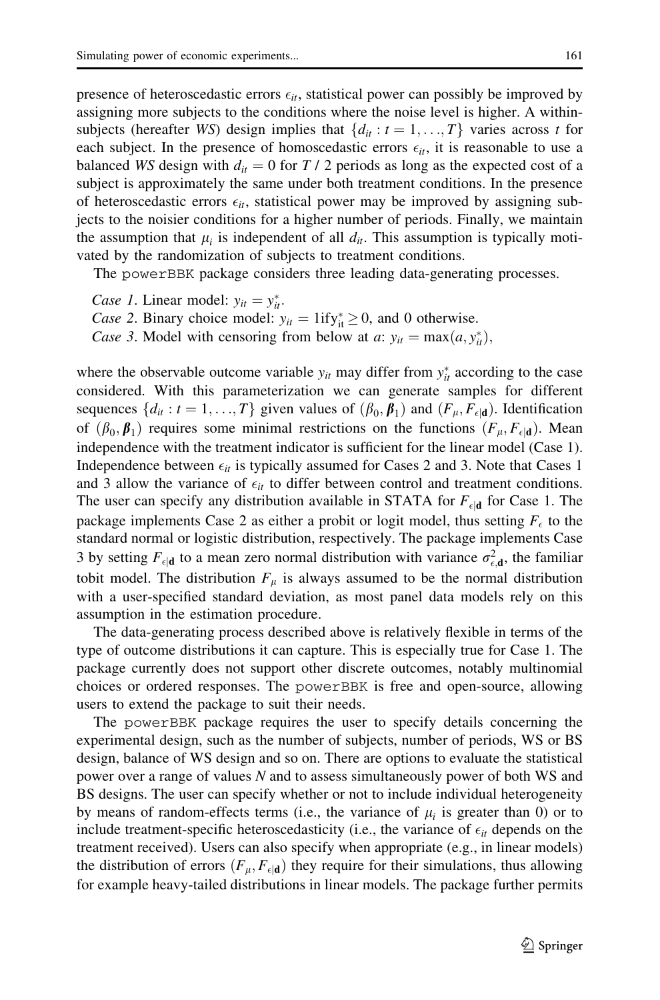presence of heteroscedastic errors  $\epsilon_{it}$ , statistical power can possibly be improved by assigning more subjects to the conditions where the noise level is higher. A withinsubjects (hereafter WS) design implies that  $\{d_{it} : t = 1, \ldots, T\}$  varies across t for each subject. In the presence of homoscedastic errors  $\epsilon_{it}$ , it is reasonable to use a balanced WS design with  $d_{it} = 0$  for T / 2 periods as long as the expected cost of a subject is approximately the same under both treatment conditions. In the presence of heteroscedastic errors  $\epsilon_{it}$ , statistical power may be improved by assigning subjects to the noisier conditions for a higher number of periods. Finally, we maintain the assumption that  $\mu_i$  is independent of all  $d_{it}$ . This assumption is typically motivated by the randomization of subjects to treatment conditions.

The powerBBK package considers three leading data-generating processes.

Case 1. Linear model:  $y_{it} = y_{it}^*$ . Case 2. Binary choice model:  $y_{it} = 1$ ify<sub>it</sub>  $\geq 0$ , and 0 otherwise. Case 3. Model with censoring from below at a:  $y_{it} = \max(a, y_{it}^*)$ ,

where the observable outcome variable  $y_{it}$  may differ from  $y_{it}^*$  according to the case considered. With this parameterization we can generate samples for different sequences  $\{d_{it}: t = 1, ..., T\}$  given values of  $(\beta_0, \beta_1)$  and  $(F_{\mu}, F_{\epsilon | \mathbf{d}})$ . Identification of  $(\beta_0, \beta_1)$  requires some minimal restrictions on the functions  $(F_{\mu}, F_{\epsilon | \mathbf{d}})$ . Mean independence with the treatment indicator is sufficient for the linear model (Case 1). Independence between  $\epsilon_{it}$  is typically assumed for Cases 2 and 3. Note that Cases 1 and 3 allow the variance of  $\epsilon_{it}$  to differ between control and treatment conditions. The user can specify any distribution available in STATA for  $F_{\epsilon | \mathbf{d}}$  for Case 1. The package implements Case 2 as either a probit or logit model, thus setting  $F_{\epsilon}$  to the standard normal or logistic distribution, respectively. The package implements Case 3 by setting  $F_{\epsilon|\mathbf{d}}$  to a mean zero normal distribution with variance  $\sigma_{\epsilon,\mathbf{d}}^2$ , the familiar tobit model. The distribution  $F_{\mu}$  is always assumed to be the normal distribution with a user-specified standard deviation, as most panel data models rely on this assumption in the estimation procedure.

The data-generating process described above is relatively flexible in terms of the type of outcome distributions it can capture. This is especially true for Case 1. The package currently does not support other discrete outcomes, notably multinomial choices or ordered responses. The powerBBK is free and open-source, allowing users to extend the package to suit their needs.

The powerBBK package requires the user to specify details concerning the experimental design, such as the number of subjects, number of periods, WS or BS design, balance of WS design and so on. There are options to evaluate the statistical power over a range of values N and to assess simultaneously power of both WS and BS designs. The user can specify whether or not to include individual heterogeneity by means of random-effects terms (i.e., the variance of  $\mu_i$  is greater than 0) or to include treatment-specific heteroscedasticity (i.e., the variance of  $\epsilon_{it}$  depends on the treatment received). Users can also specify when appropriate (e.g., in linear models) the distribution of errors  $(F_{\mu}, F_{\epsilon | \mathbf{d}})$  they require for their simulations, thus allowing for example heavy-tailed distributions in linear models. The package further permits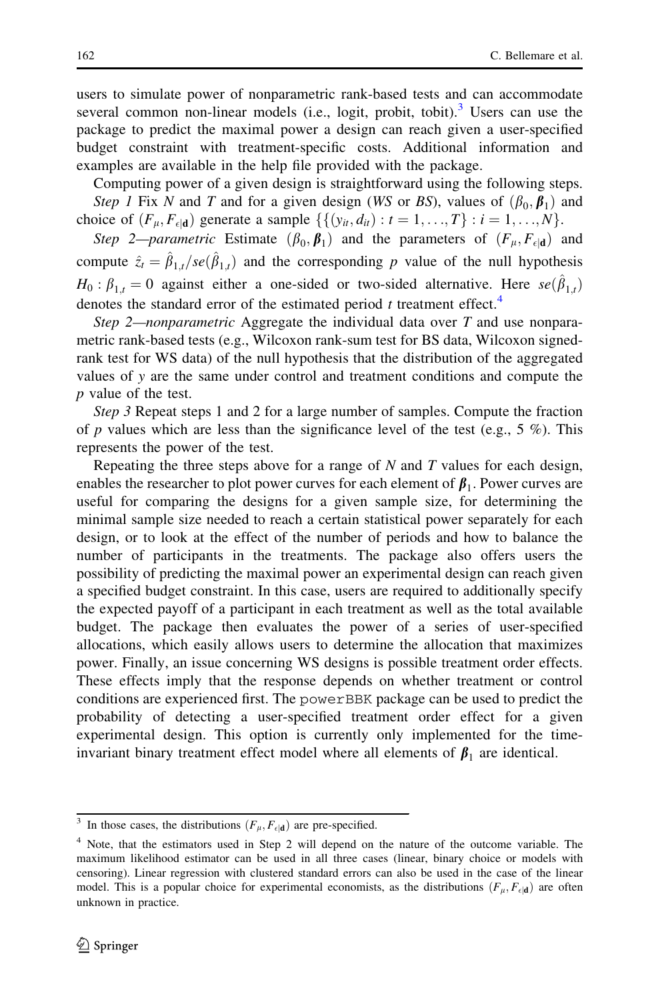users to simulate power of nonparametric rank-based tests and can accommodate several common non-linear models (i.e., logit, probit, tobit).<sup>3</sup> Users can use the package to predict the maximal power a design can reach given a user-specified budget constraint with treatment-specific costs. Additional information and examples are available in the help file provided with the package.

Computing power of a given design is straightforward using the following steps. Step 1 Fix N and T and for a given design (WS or BS), values of  $(\beta_0, \beta_1)$  and choice of  $(F_{\mu}, F_{\epsilon | \mathbf{d}})$  generate a sample  $\{\{(y_{it}, d_{it}) : t = 1, ..., T\} : i = 1, ..., N\}$ .

Step 2—parametric Estimate  $(\beta_0, \beta_1)$  and the parameters of  $(F_{\mu}, F_{\epsilon | \mathbf{d}})$  and compute  $\hat{z}_t = \hat{\beta}_{1,t}/se(\hat{\beta}_{1,t})$  and the corresponding p value of the null hypothesis  $H_0: \beta_{1,t} = 0$  against either a one-sided or two-sided alternative. Here  $se(\hat{\beta}_{1,t})$ denotes the standard error of the estimated period  $t$  treatment effect.<sup>4</sup>

Step 2—nonparametric Aggregate the individual data over  $T$  and use nonparametric rank-based tests (e.g., Wilcoxon rank-sum test for BS data, Wilcoxon signedrank test for WS data) of the null hypothesis that the distribution of the aggregated values of y are the same under control and treatment conditions and compute the p value of the test.

Step 3 Repeat steps 1 and 2 for a large number of samples. Compute the fraction of p values which are less than the significance level of the test (e.g.,  $5\%$ ). This represents the power of the test.

Repeating the three steps above for a range of  $N$  and  $T$  values for each design, enables the researcher to plot power curves for each element of  $\beta_1$ . Power curves are useful for comparing the designs for a given sample size, for determining the minimal sample size needed to reach a certain statistical power separately for each design, or to look at the effect of the number of periods and how to balance the number of participants in the treatments. The package also offers users the possibility of predicting the maximal power an experimental design can reach given a specified budget constraint. In this case, users are required to additionally specify the expected payoff of a participant in each treatment as well as the total available budget. The package then evaluates the power of a series of user-specified allocations, which easily allows users to determine the allocation that maximizes power. Finally, an issue concerning WS designs is possible treatment order effects. These effects imply that the response depends on whether treatment or control conditions are experienced first. The powerBBK package can be used to predict the probability of detecting a user-specified treatment order effect for a given experimental design. This option is currently only implemented for the timeinvariant binary treatment effect model where all elements of  $\beta_1$  are identical.

<sup>&</sup>lt;sup>3</sup> In those cases, the distributions  $(F_{\mu}, F_{\epsilon | \mathbf{d}})$  are pre-specified.

<sup>4</sup> Note, that the estimators used in Step 2 will depend on the nature of the outcome variable. The maximum likelihood estimator can be used in all three cases (linear, binary choice or models with censoring). Linear regression with clustered standard errors can also be used in the case of the linear model. This is a popular choice for experimental economists, as the distributions  $(F_\mu, F_{\epsilon | \mathbf{d}})$  are often unknown in practice.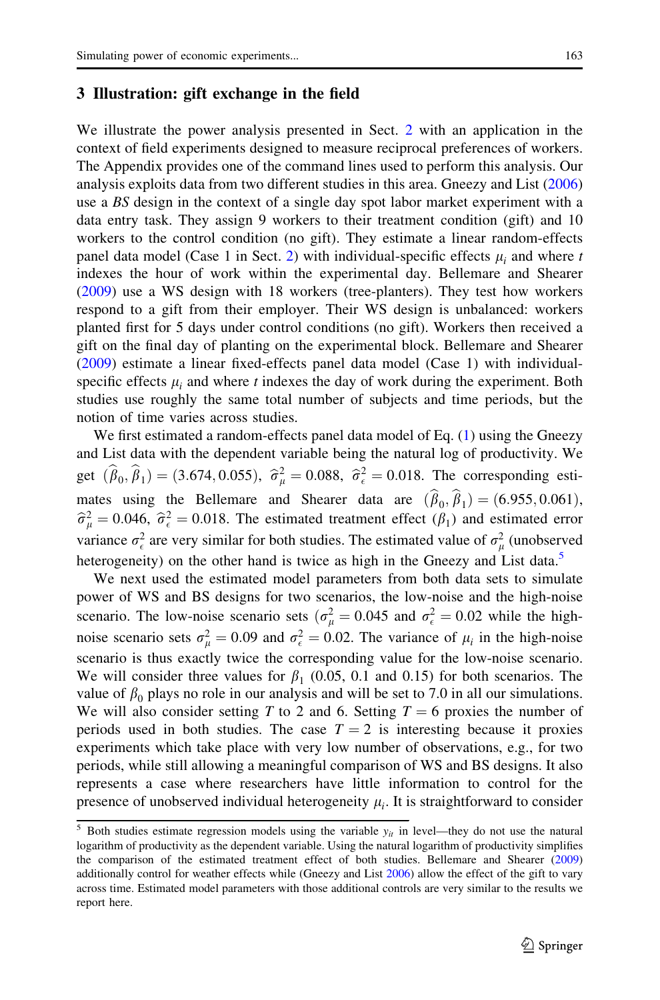#### <span id="page-6-0"></span>3 Illustration: gift exchange in the field

We illustrate the power analysis presented in Sect. [2](#page-3-0) with an application in the context of field experiments designed to measure reciprocal preferences of workers. The Appendix provides one of the command lines used to perform this analysis. Our analysis exploits data from two different studies in this area. Gneezy and List [\(2006](#page-11-0)) use a BS design in the context of a single day spot labor market experiment with a data entry task. They assign 9 workers to their treatment condition (gift) and 10 workers to the control condition (no gift). They estimate a linear random-effects panel data model (Case 1 in Sect. [2\)](#page-3-0) with individual-specific effects  $\mu_i$  and where t indexes the hour of work within the experimental day. Bellemare and Shearer [\(2009](#page-11-0)) use a WS design with 18 workers (tree-planters). They test how workers respond to a gift from their employer. Their WS design is unbalanced: workers planted first for 5 days under control conditions (no gift). Workers then received a gift on the final day of planting on the experimental block. Bellemare and Shearer [\(2009](#page-11-0)) estimate a linear fixed-effects panel data model (Case 1) with individualspecific effects  $\mu_i$  and where t indexes the day of work during the experiment. Both studies use roughly the same total number of subjects and time periods, but the notion of time varies across studies.

We first estimated a random-effects panel data model of Eq. [\(1](#page-3-0)) using the Gneezy and List data with the dependent variable being the natural log of productivity. We get  $(\hat{\beta}_0, \hat{\beta}_1) = (3.674, 0.055), \ \hat{\sigma}^2_{\mu} = 0.088, \ \hat{\sigma}^2_{\epsilon} = 0.018.$  The corresponding estimates using the Bellemare and Shearer data are  $(\hat{\beta}_0, \hat{\beta}_1) = (6.955, 0.061)$ ,  $\hat{\sigma}_{\mu}^2 = 0.046$ ,  $\hat{\sigma}_{\epsilon}^2 = 0.018$ . The estimated treatment effect  $(\beta_1)$  and estimated error variance  $\sigma_{\epsilon}^2$  are very similar for both studies. The estimated value of  $\sigma_{\mu}^2$  (unobserved heterogeneity) on the other hand is twice as high in the Gneezy and List data.<sup>5</sup>

We next used the estimated model parameters from both data sets to simulate power of WS and BS designs for two scenarios, the low-noise and the high-noise scenario. The low-noise scenario sets  $(\sigma_{\mu}^2 = 0.045$  and  $\sigma_{\epsilon}^2 = 0.02$  while the highnoise scenario sets  $\sigma_{\mu}^2 = 0.09$  and  $\sigma_{\epsilon}^2 = 0.02$ . The variance of  $\mu_i$  in the high-noise scenario is thus exactly twice the corresponding value for the low-noise scenario. We will consider three values for  $\beta_1$  (0.05, 0.1 and 0.15) for both scenarios. The value of  $\beta_0$  plays no role in our analysis and will be set to 7.0 in all our simulations. We will also consider setting T to 2 and 6. Setting  $T = 6$  proxies the number of periods used in both studies. The case  $T = 2$  is interesting because it proxies experiments which take place with very low number of observations, e.g., for two periods, while still allowing a meaningful comparison of WS and BS designs. It also represents a case where researchers have little information to control for the presence of unobserved individual heterogeneity  $\mu_i$ . It is straightforward to consider

<sup>&</sup>lt;sup>5</sup> Both studies estimate regression models using the variable  $y_{it}$  in level—they do not use the natural logarithm of productivity as the dependent variable. Using the natural logarithm of productivity simplifies the comparison of the estimated treatment effect of both studies. Bellemare and Shearer ([2009\)](#page-11-0) additionally control for weather effects while (Gneezy and List [2006](#page-11-0)) allow the effect of the gift to vary across time. Estimated model parameters with those additional controls are very similar to the results we report here.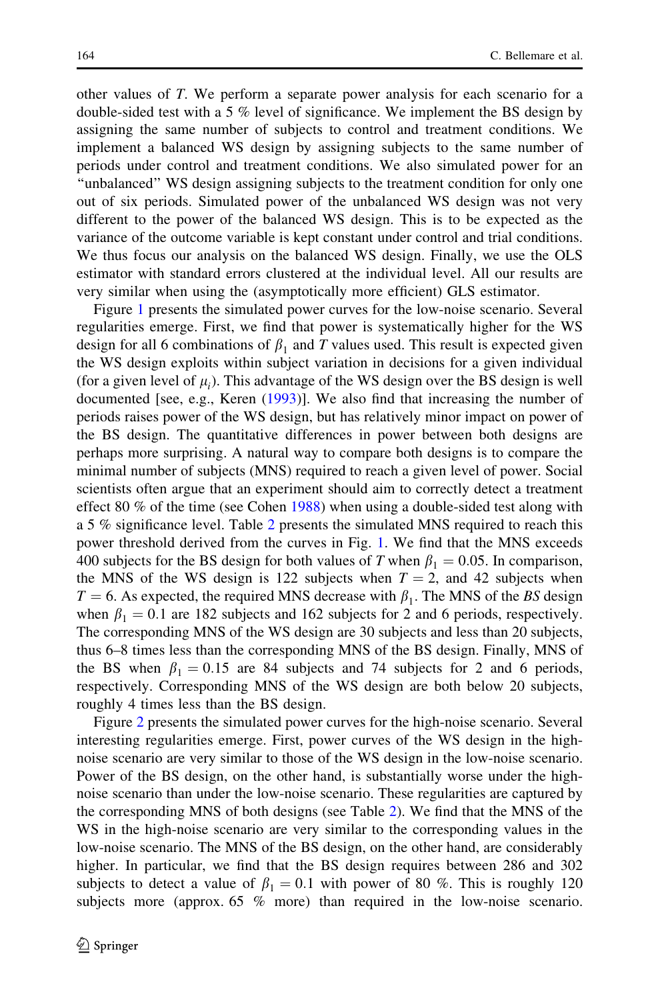other values of T. We perform a separate power analysis for each scenario for a double-sided test with a 5 % level of significance. We implement the BS design by assigning the same number of subjects to control and treatment conditions. We implement a balanced WS design by assigning subjects to the same number of periods under control and treatment conditions. We also simulated power for an ''unbalanced'' WS design assigning subjects to the treatment condition for only one out of six periods. Simulated power of the unbalanced WS design was not very different to the power of the balanced WS design. This is to be expected as the variance of the outcome variable is kept constant under control and trial conditions. We thus focus our analysis on the balanced WS design. Finally, we use the OLS estimator with standard errors clustered at the individual level. All our results are very similar when using the (asymptotically more efficient) GLS estimator.

Figure [1](#page-8-0) presents the simulated power curves for the low-noise scenario. Several regularities emerge. First, we find that power is systematically higher for the WS design for all 6 combinations of  $\beta_1$  and T values used. This result is expected given the WS design exploits within subject variation in decisions for a given individual (for a given level of  $\mu_i$ ). This advantage of the WS design over the BS design is well documented [see, e.g., Keren ([1993\)](#page-11-0)]. We also find that increasing the number of periods raises power of the WS design, but has relatively minor impact on power of the BS design. The quantitative differences in power between both designs are perhaps more surprising. A natural way to compare both designs is to compare the minimal number of subjects (MNS) required to reach a given level of power. Social scientists often argue that an experiment should aim to correctly detect a treatment effect 80  $%$  of the time (see Cohen [1988\)](#page-11-0) when using a double-sided test along with a 5 % significance level. Table [2](#page-8-0) presents the simulated MNS required to reach this power threshold derived from the curves in Fig. [1](#page-8-0). We find that the MNS exceeds 400 subjects for the BS design for both values of T when  $\beta_1 = 0.05$ . In comparison, the MNS of the WS design is 122 subjects when  $T = 2$ , and 42 subjects when  $T = 6$ . As expected, the required MNS decrease with  $\beta_1$ . The MNS of the BS design when  $\beta_1 = 0.1$  are 182 subjects and 162 subjects for 2 and 6 periods, respectively. The corresponding MNS of the WS design are 30 subjects and less than 20 subjects, thus 6–8 times less than the corresponding MNS of the BS design. Finally, MNS of the BS when  $\beta_1 = 0.15$  are 84 subjects and 74 subjects for 2 and 6 periods, respectively. Corresponding MNS of the WS design are both below 20 subjects, roughly 4 times less than the BS design.

Figure [2](#page-9-0) presents the simulated power curves for the high-noise scenario. Several interesting regularities emerge. First, power curves of the WS design in the highnoise scenario are very similar to those of the WS design in the low-noise scenario. Power of the BS design, on the other hand, is substantially worse under the highnoise scenario than under the low-noise scenario. These regularities are captured by the corresponding MNS of both designs (see Table [2](#page-8-0)). We find that the MNS of the WS in the high-noise scenario are very similar to the corresponding values in the low-noise scenario. The MNS of the BS design, on the other hand, are considerably higher. In particular, we find that the BS design requires between 286 and 302 subjects to detect a value of  $\beta_1 = 0.1$  with power of 80 %. This is roughly 120 subjects more (approx. 65 % more) than required in the low-noise scenario.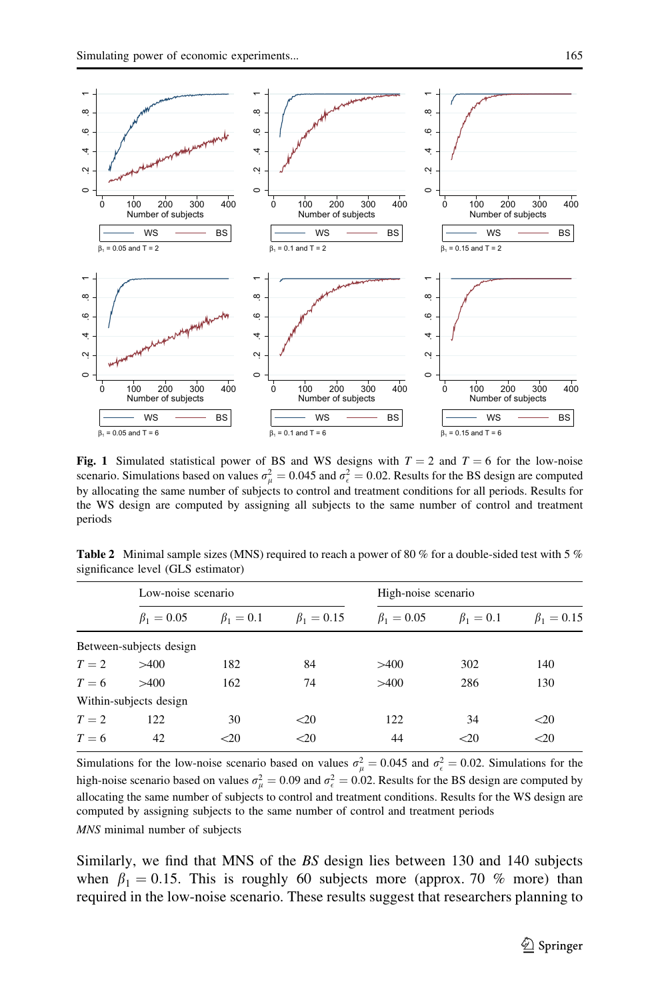<span id="page-8-0"></span>

Fig. 1 Simulated statistical power of BS and WS designs with  $T = 2$  and  $T = 6$  for the low-noise scenario. Simulations based on values  $\sigma_{\mu}^2 = 0.045$  and  $\sigma_{\epsilon}^2 = 0.02$ . Results for the BS design are computed by allocating the same number of subjects to control and treatment conditions for all periods. Results for the WS design are computed by assigning all subjects to the same number of control and treatment periods

|  | <b>Table 2</b> Minimal sample sizes (MNS) required to reach a power of 80 % for a double-sided test with 5 % |  |  |  |  |
|--|--------------------------------------------------------------------------------------------------------------|--|--|--|--|
|  | significance level (GLS estimator)                                                                           |  |  |  |  |

|       | Low-noise scenario      |                 |                  | High-noise scenario |                 |                  |  |
|-------|-------------------------|-----------------|------------------|---------------------|-----------------|------------------|--|
|       | $\beta_1 = 0.05$        | $\beta_1 = 0.1$ | $\beta_1 = 0.15$ | $\beta_1 = 0.05$    | $\beta_1 = 0.1$ | $\beta_1 = 0.15$ |  |
|       | Between-subjects design |                 |                  |                     |                 |                  |  |
| $T=2$ | >400                    | 182             | 84               | >400                | 302             | 140              |  |
| $T=6$ | >400                    | 162             | 74               | >400                | 286             | 130              |  |
|       | Within-subjects design  |                 |                  |                     |                 |                  |  |
| $T=2$ | 122                     | 30              | $<$ 20           | 122                 | 34              | $<$ 20           |  |
| $T=6$ | 42                      | $\leq 20$       | < 20             | 44                  | $20$            | $<$ 20           |  |
|       |                         |                 |                  |                     |                 |                  |  |

Simulations for the low-noise scenario based on values  $\sigma_{\mu}^2 = 0.045$  and  $\sigma_{\epsilon}^2 = 0.02$ . Simulations for the high-noise scenario based on values  $\sigma_{\mu}^2 = 0.09$  and  $\sigma_{\epsilon}^2 = 0.02$ . Results for the BS design are computed by allocating the same number of subjects to control and treatment conditions. Results for the WS design are computed by assigning subjects to the same number of control and treatment periods

MNS minimal number of subjects

Similarly, we find that MNS of the BS design lies between 130 and 140 subjects when  $\beta_1 = 0.15$ . This is roughly 60 subjects more (approx. 70 % more) than required in the low-noise scenario. These results suggest that researchers planning to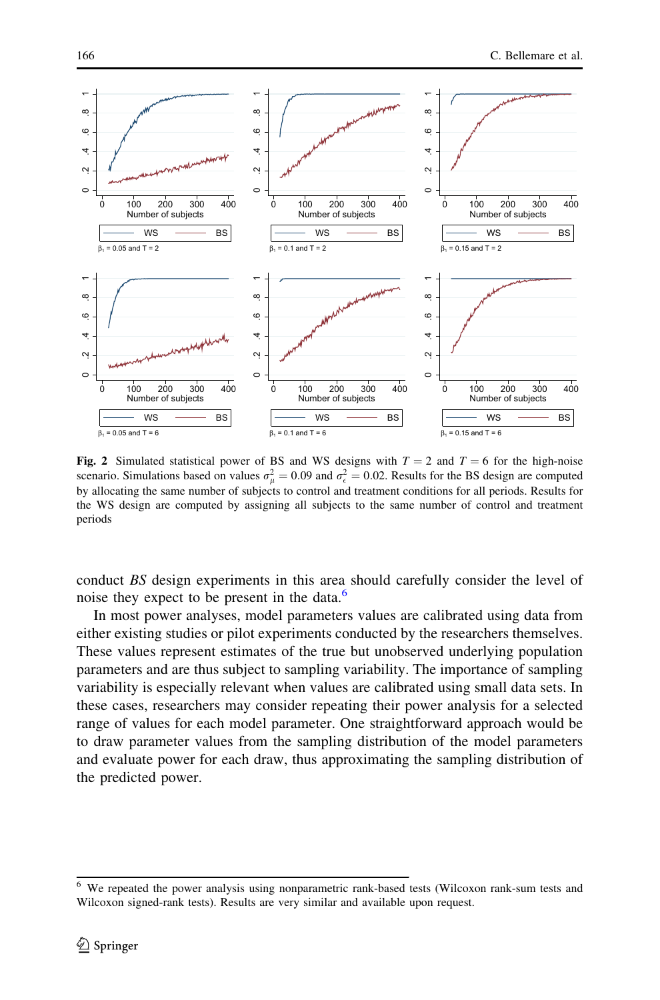<span id="page-9-0"></span>

Fig. 2 Simulated statistical power of BS and WS designs with  $T = 2$  and  $T = 6$  for the high-noise scenario. Simulations based on values  $\sigma_{\mu}^2 = 0.09$  and  $\sigma_{\epsilon}^2 = 0.02$ . Results for the BS design are computed by allocating the same number of subjects to control and treatment conditions for all periods. Results for the WS design are computed by assigning all subjects to the same number of control and treatment periods

conduct BS design experiments in this area should carefully consider the level of noise they expect to be present in the data. $<sup>6</sup>$ </sup>

In most power analyses, model parameters values are calibrated using data from either existing studies or pilot experiments conducted by the researchers themselves. These values represent estimates of the true but unobserved underlying population parameters and are thus subject to sampling variability. The importance of sampling variability is especially relevant when values are calibrated using small data sets. In these cases, researchers may consider repeating their power analysis for a selected range of values for each model parameter. One straightforward approach would be to draw parameter values from the sampling distribution of the model parameters and evaluate power for each draw, thus approximating the sampling distribution of the predicted power.

<sup>6</sup> We repeated the power analysis using nonparametric rank-based tests (Wilcoxon rank-sum tests and Wilcoxon signed-rank tests). Results are very similar and available upon request.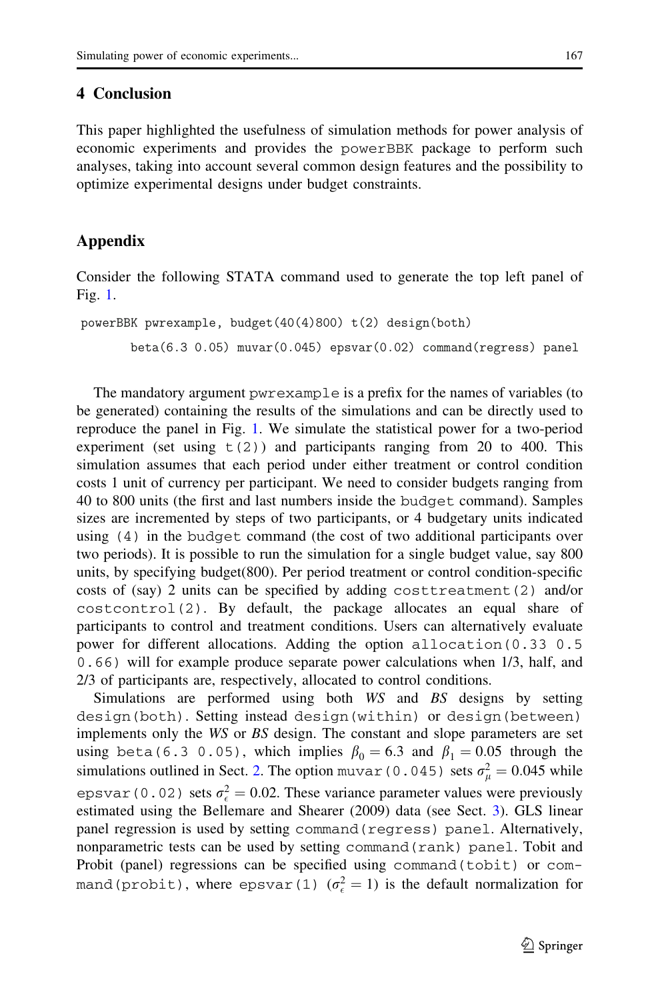### <span id="page-10-0"></span>4 Conclusion

This paper highlighted the usefulness of simulation methods for power analysis of economic experiments and provides the powerBBK package to perform such analyses, taking into account several common design features and the possibility to optimize experimental designs under budget constraints.

## Appendix

Consider the following STATA command used to generate the top left panel of Fig. [1](#page-8-0).

```
powerBBK pwrexample, budget(40(4)800) t(2) design(both)
beta(6.3 0.05) muvar(0.045) epsvar(0.02) command(regress) panel
```
The mandatory argument pwrexample is a prefix for the names of variables (to be generated) containing the results of the simulations and can be directly used to reproduce the panel in Fig. [1.](#page-8-0) We simulate the statistical power for a two-period experiment (set using  $t(2)$ ) and participants ranging from 20 to 400. This simulation assumes that each period under either treatment or control condition costs 1 unit of currency per participant. We need to consider budgets ranging from 40 to 800 units (the first and last numbers inside the budget command). Samples sizes are incremented by steps of two participants, or 4 budgetary units indicated using (4) in the budget command (the cost of two additional participants over two periods). It is possible to run the simulation for a single budget value, say 800 units, by specifying budget(800). Per period treatment or control condition-specific costs of (say) 2 units can be specified by adding costtreatment(2) and/or costcontrol(2). By default, the package allocates an equal share of participants to control and treatment conditions. Users can alternatively evaluate power for different allocations. Adding the option allocation(0.33 0.5 0.66) will for example produce separate power calculations when 1/3, half, and 2/3 of participants are, respectively, allocated to control conditions.

Simulations are performed using both WS and BS designs by setting design(both). Setting instead design(within) or design(between) implements only the WS or BS design. The constant and slope parameters are set using beta(6.3 0.05), which implies  $\beta_0 = 6.3$  and  $\beta_1 = 0.05$  through the simulations outlined in Sect. [2](#page-3-0). The option muvar (0.045) sets  $\sigma_{\mu}^2 = 0.045$  while epsvar (0.02) sets  $\sigma_{\epsilon}^2 = 0.02$ . These variance parameter values were previously estimated using the Bellemare and Shearer (2009) data (see Sect. [3](#page-6-0)). GLS linear panel regression is used by setting command(regress) panel. Alternatively, nonparametric tests can be used by setting command(rank) panel. Tobit and Probit (panel) regressions can be specified using command(tobit) or command(probit), where  $\epsilon$ psvar(1) ( $\sigma_{\epsilon}^2 = 1$ ) is the default normalization for